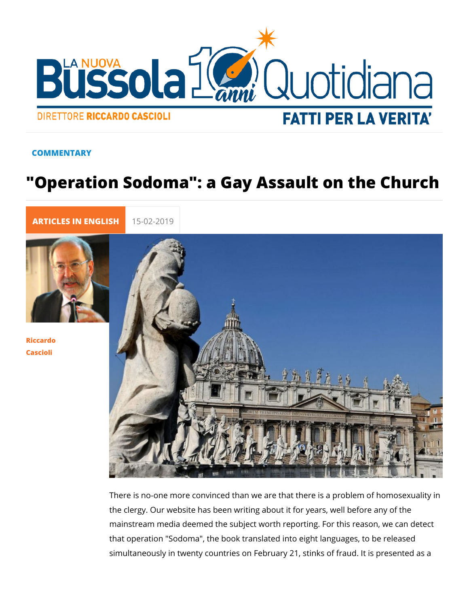## COMMENTARY

## "Operation Sodoma": a Gay Assault on

[ARTICLES IN E](https://lanuovabq.it/it/articles-in-english)N 15-02-2019

[Riccar](/it/riccardo-cascioli)do [Casci](/it/riccardo-cascioli)oli

> There is no-one more convinced than we are that there is a pro the clergy. Our website has been writing about it for years, we mainstream media deemed the subject worth reporting. For this that operation "Sodoma", the book translated into eight langua simultaneously in twenty countries on February 21, stinks of fi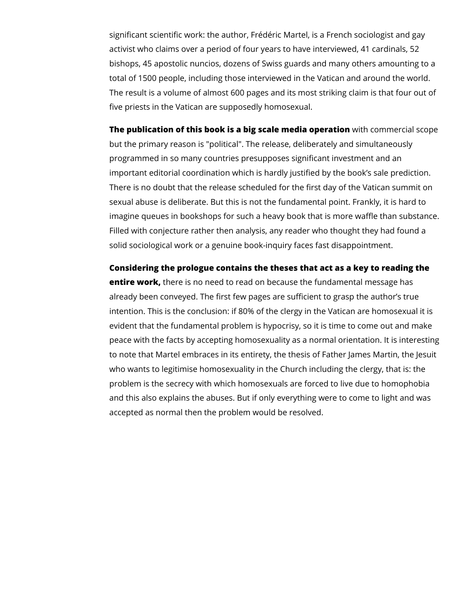significant scientific work: the author, Frédéric Martel, is a French sociologist and gay activist who claims over a period of four years to have interviewed, 41 cardinals, 52 bishops, 45 apostolic nuncios, dozens of Swiss guards and many others amounting to a total of 1500 people, including those interviewed in the Vatican and around the world. The result is a volume of almost 600 pages and its most striking claim is that four out of five priests in the Vatican are supposedly homosexual.

**The publication of this book is a big scale media operation** with commercial scope but the primary reason is "political". The release, deliberately and simultaneously programmed in so many countries presupposes significant investment and an important editorial coordination which is hardly justified by the book's sale prediction. There is no doubt that the release scheduled for the first day of the Vatican summit on sexual abuse is deliberate. But this is not the fundamental point. Frankly, it is hard to imagine queues in bookshops for such a heavy book that is more waffle than substance. Filled with conjecture rather then analysis, any reader who thought they had found a solid sociological work or a genuine book-inquiry faces fast disappointment.

**Considering the prologue contains the theses that act as a key to reading the entire work,** there is no need to read on because the fundamental message has already been conveyed. The first few pages are sufficient to grasp the author's true intention. This is the conclusion: if 80% of the clergy in the Vatican are homosexual it is evident that the fundamental problem is hypocrisy, so it is time to come out and make peace with the facts by accepting homosexuality as a normal orientation. It is interesting to note that Martel embraces in its entirety, the thesis of Father James Martin, the Jesuit who wants to legitimise homosexuality in the Church including the clergy, that is: the problem is the secrecy with which homosexuals are forced to live due to homophobia and this also explains the abuses. But if only everything were to come to light and was accepted as normal then the problem would be resolved.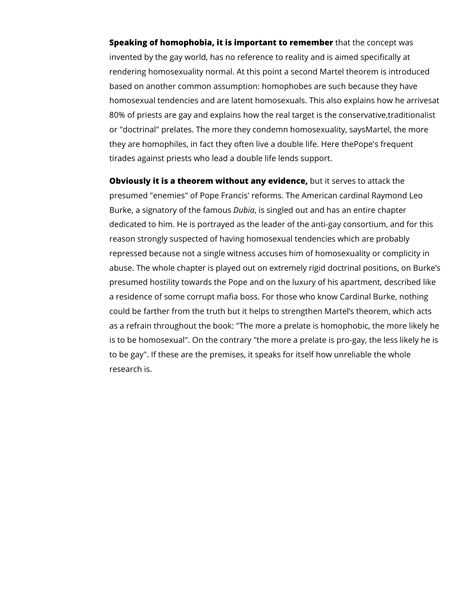**Speaking of homophobia, it is important to remember** that the concept was invented by the gay world, has no reference to reality and is aimed specifically at rendering homosexuality normal. At this point a second Martel theorem is introduced based on another common assumption: homophobes are such because they have homosexual tendencies and are latent homosexuals. This also explains how he arrivesat 80% of priests are gay and explains how the real target is the conservative,traditionalist or "doctrinal" prelates. The more they condemn homosexuality, saysMartel, the more they are homophiles, in fact they often live a double life. Here thePope's frequent tirades against priests who lead a double life lends support.

**Obviously it is a theorem without any evidence,** but it serves to attack the presumed "enemies" of Pope Francis' reforms. The American cardinal Raymond Leo Burke, a signatory of the famous *Dubia*, is singled out and has an entire chapter dedicated to him. He is portrayed as the leader of the anti-gay consortium, and for this reason strongly suspected of having homosexual tendencies which are probably repressed because not a single witness accuses him of homosexuality or complicity in abuse. The whole chapter is played out on extremely rigid doctrinal positions, on Burke's presumed hostility towards the Pope and on the luxury of his apartment, described like a residence of some corrupt mafia boss. For those who know Cardinal Burke, nothing could be farther from the truth but it helps to strengthen Martel's theorem, which acts as a refrain throughout the book: "The more a prelate is homophobic, the more likely he is to be homosexual". On the contrary "the more a prelate is pro-gay, the less likely he is to be gay". If these are the premises, it speaks for itself how unreliable the whole research is.